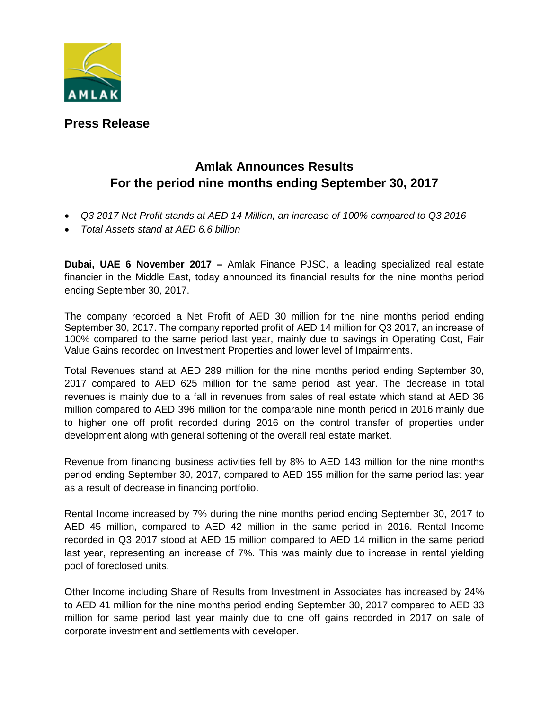

## **Press Release**

## **Amlak Announces Results For the period nine months ending September 30, 2017**

- *Q3 2017 Net Profit stands at AED 14 Million, an increase of 100% compared to Q3 2016*
- *Total Assets stand at AED 6.6 billion*

**Dubai, UAE 6 November 2017 –** Amlak Finance PJSC, a leading specialized real estate financier in the Middle East, today announced its financial results for the nine months period ending September 30, 2017.

The company recorded a Net Profit of AED 30 million for the nine months period ending September 30, 2017. The company reported profit of AED 14 million for Q3 2017, an increase of 100% compared to the same period last year, mainly due to savings in Operating Cost, Fair Value Gains recorded on Investment Properties and lower level of Impairments.

Total Revenues stand at AED 289 million for the nine months period ending September 30, 2017 compared to AED 625 million for the same period last year. The decrease in total revenues is mainly due to a fall in revenues from sales of real estate which stand at AED 36 million compared to AED 396 million for the comparable nine month period in 2016 mainly due to higher one off profit recorded during 2016 on the control transfer of properties under development along with general softening of the overall real estate market.

Revenue from financing business activities fell by 8% to AED 143 million for the nine months period ending September 30, 2017, compared to AED 155 million for the same period last year as a result of decrease in financing portfolio.

Rental Income increased by 7% during the nine months period ending September 30, 2017 to AED 45 million, compared to AED 42 million in the same period in 2016. Rental Income recorded in Q3 2017 stood at AED 15 million compared to AED 14 million in the same period last year, representing an increase of 7%. This was mainly due to increase in rental yielding pool of foreclosed units.

Other Income including Share of Results from Investment in Associates has increased by 24% to AED 41 million for the nine months period ending September 30, 2017 compared to AED 33 million for same period last year mainly due to one off gains recorded in 2017 on sale of corporate investment and settlements with developer.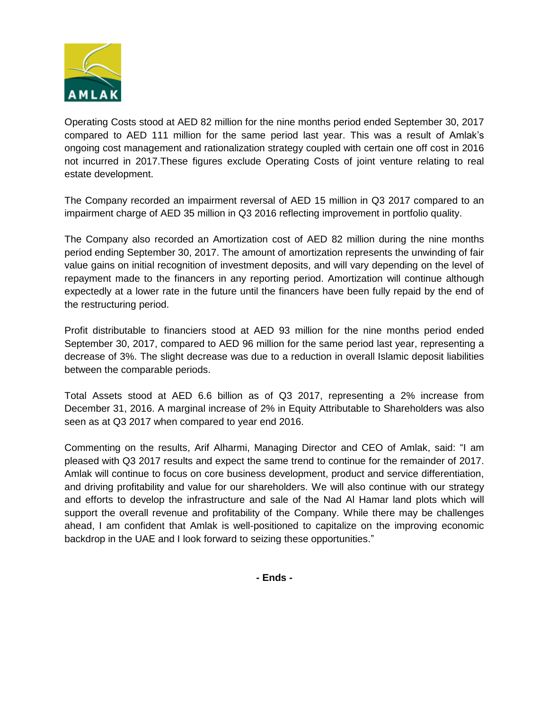

Operating Costs stood at AED 82 million for the nine months period ended September 30, 2017 compared to AED 111 million for the same period last year. This was a result of Amlak's ongoing cost management and rationalization strategy coupled with certain one off cost in 2016 not incurred in 2017.These figures exclude Operating Costs of joint venture relating to real estate development.

The Company recorded an impairment reversal of AED 15 million in Q3 2017 compared to an impairment charge of AED 35 million in Q3 2016 reflecting improvement in portfolio quality.

The Company also recorded an Amortization cost of AED 82 million during the nine months period ending September 30, 2017. The amount of amortization represents the unwinding of fair value gains on initial recognition of investment deposits, and will vary depending on the level of repayment made to the financers in any reporting period. Amortization will continue although expectedly at a lower rate in the future until the financers have been fully repaid by the end of the restructuring period.

Profit distributable to financiers stood at AED 93 million for the nine months period ended September 30, 2017, compared to AED 96 million for the same period last year, representing a decrease of 3%. The slight decrease was due to a reduction in overall Islamic deposit liabilities between the comparable periods.

Total Assets stood at AED 6.6 billion as of Q3 2017, representing a 2% increase from December 31, 2016. A marginal increase of 2% in Equity Attributable to Shareholders was also seen as at Q3 2017 when compared to year end 2016.

Commenting on the results, Arif Alharmi, Managing Director and CEO of Amlak, said: "I am pleased with Q3 2017 results and expect the same trend to continue for the remainder of 2017. Amlak will continue to focus on core business development, product and service differentiation, and driving profitability and value for our shareholders. We will also continue with our strategy and efforts to develop the infrastructure and sale of the Nad Al Hamar land plots which will support the overall revenue and profitability of the Company. While there may be challenges ahead, I am confident that Amlak is well-positioned to capitalize on the improving economic backdrop in the UAE and I look forward to seizing these opportunities."

**- Ends -**